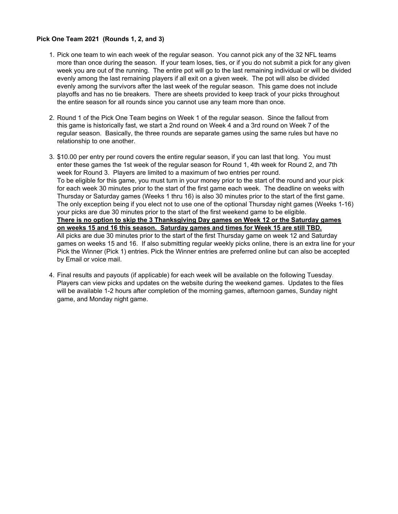### **Pick One Team 2021 (Rounds 1, 2, and 3)**

- 1. Pick one team to win each week of the regular season. You cannot pick any of the 32 NFL teams more than once during the season. If your team loses, ties, or if you do not submit a pick for any given week you are out of the running. The entire pot will go to the last remaining individual or will be divided evenly among the last remaining players if all exit on a given week. The pot will also be divided evenly among the survivors after the last week of the regular season. This game does not include playoffs and has no tie breakers. There are sheets provided to keep track of your picks throughout the entire season for all rounds since you cannot use any team more than once.
- 2. Round 1 of the Pick One Team begins on Week 1 of the regular season. Since the fallout from this game is historically fast, we start a 2nd round on Week 4 and a 3rd round on Week 7 of the regular season. Basically, the three rounds are separate games using the same rules but have no relationship to one another.
- 3. \$10.00 per entry per round covers the entire regular season, if you can last that long. You must enter these games the 1st week of the regular season for Round 1, 4th week for Round 2, and 7th week for Round 3. Players are limited to a maximum of two entries per round. To be eligible for this game, you must turn in your money prior to the start of the round and your pick for each week 30 minutes prior to the start of the first game each week. The deadline on weeks with Thursday or Saturday games (Weeks 1 thru 16) is also 30 minutes prior to the start of the first game. The only exception being if you elect not to use one of the optional Thursday night games (Weeks 1-16) your picks are due 30 minutes prior to the start of the first weekend game to be eligible. **There is no option to skip the 3 Thanksgiving Day games on Week 12 or the Saturday games on weeks 15 and 16 this season. Saturday games and times for Week 15 are still TBD.** All picks are due 30 minutes prior to the start of the first Thursday game on week 12 and Saturday games on weeks 15 and 16. If also submitting regular weekly picks online, there is an extra line for your Pick the Winner (Pick 1) entries. Pick the Winner entries are preferred online but can also be accepted by Email or voice mail.
- 4. Final results and payouts (if applicable) for each week will be available on the following Tuesday. Players can view picks and updates on the website during the weekend games. Updates to the files will be available 1-2 hours after completion of the morning games, afternoon games, Sunday night game, and Monday night game.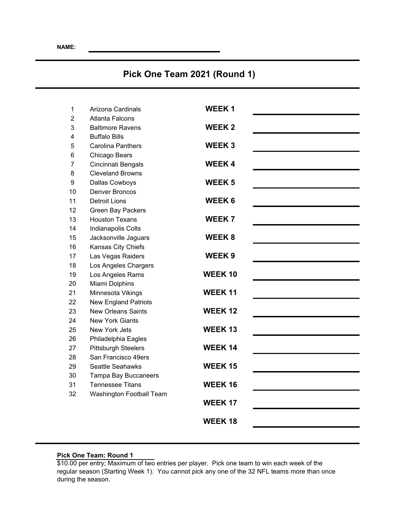# **Pick One Team 2021 (Round 1)**

| 1              | Arizona Cardinals           | <b>WEEK1</b>   |  |
|----------------|-----------------------------|----------------|--|
| $\overline{2}$ | Atlanta Falcons             |                |  |
| 3              | <b>Baltimore Ravens</b>     | <b>WEEK2</b>   |  |
| 4              | <b>Buffalo Bills</b>        |                |  |
| 5              | <b>Carolina Panthers</b>    | <b>WEEK3</b>   |  |
| 6              | Chicago Bears               |                |  |
| $\overline{7}$ | Cincinnati Bengals          | <b>WEEK4</b>   |  |
| 8              | <b>Cleveland Browns</b>     |                |  |
| 9              | Dallas Cowboys              | <b>WEEK5</b>   |  |
| 10             | <b>Denver Broncos</b>       |                |  |
| 11             | Detroit Lions               | <b>WEEK6</b>   |  |
| 12             | <b>Green Bay Packers</b>    |                |  |
| 13             | <b>Houston Texans</b>       | <b>WEEK7</b>   |  |
| 14             | Indianapolis Colts          |                |  |
| 15             | Jacksonville Jaguars        | <b>WEEK8</b>   |  |
| 16             | Kansas City Chiefs          |                |  |
| 17             | Las Vegas Raiders           | <b>WEEK9</b>   |  |
| 18             | Los Angeles Chargers        |                |  |
| 19             | Los Angeles Rams            | <b>WEEK10</b>  |  |
| 20             | Miami Dolphins              |                |  |
| 21             | Minnesota Vikings           | <b>WEEK11</b>  |  |
| 22             | <b>New England Patriots</b> |                |  |
| 23             | <b>New Orleans Saints</b>   | <b>WEEK12</b>  |  |
| 24             | <b>New York Giants</b>      |                |  |
| 25             | New York Jets               | <b>WEEK13</b>  |  |
| 26             | Philadelphia Eagles         |                |  |
| 27             | <b>Pittsburgh Steelers</b>  | <b>WEEK 14</b> |  |
| 28             | San Francisco 49ers         |                |  |
| 29             | Seattle Seahawks            | <b>WEEK15</b>  |  |
| 30             | <b>Tampa Bay Buccaneers</b> | <b>WEEK16</b>  |  |
| 31<br>32       | <b>Tennessee Titans</b>     |                |  |
|                | Washington Football Team    | <b>WEEK 17</b> |  |
|                |                             |                |  |
|                |                             | <b>WEEK18</b>  |  |
|                |                             |                |  |

#### **Pick One Team: Round 1**

\$10.00 per entry; Maximum of two entries per player. Pick one team to win each week of the regular season (Starting Week 1). You cannot pick any one of the 32 NFL teams more than once during the season.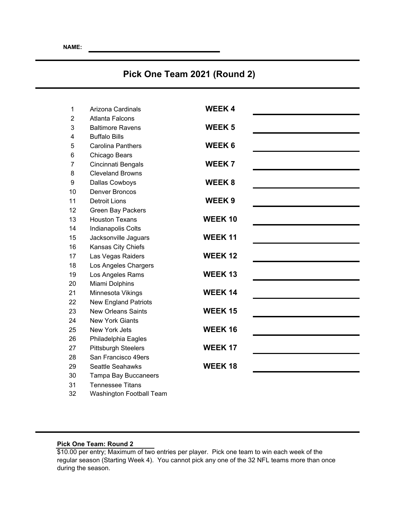# **Pick One Team 2021 (Round 2)**

| 1              | Arizona Cardinals           | <b>WEEK4</b>   |  |
|----------------|-----------------------------|----------------|--|
| $\overline{2}$ | <b>Atlanta Falcons</b>      |                |  |
| 3              | <b>Baltimore Ravens</b>     | <b>WEEK 5</b>  |  |
| 4              | <b>Buffalo Bills</b>        |                |  |
| 5              | <b>Carolina Panthers</b>    | <b>WEEK6</b>   |  |
| 6              | Chicago Bears               |                |  |
| 7              | Cincinnati Bengals          | <b>WEEK7</b>   |  |
| 8              | <b>Cleveland Browns</b>     |                |  |
| 9              | Dallas Cowboys              | WEEK 8         |  |
| 10             | <b>Denver Broncos</b>       |                |  |
| 11             | <b>Detroit Lions</b>        | <b>WEEK9</b>   |  |
| 12             | <b>Green Bay Packers</b>    |                |  |
| 13             | <b>Houston Texans</b>       | <b>WEEK10</b>  |  |
| 14             | Indianapolis Colts          |                |  |
| 15             | Jacksonville Jaguars        | <b>WEEK11</b>  |  |
| 16             | Kansas City Chiefs          |                |  |
| 17             | Las Vegas Raiders           | <b>WEEK12</b>  |  |
| 18             | Los Angeles Chargers        |                |  |
| 19             | Los Angeles Rams            | <b>WEEK13</b>  |  |
| 20             | Miami Dolphins              |                |  |
| 21             | Minnesota Vikings           | <b>WEEK 14</b> |  |
| 22             | <b>New England Patriots</b> |                |  |
| 23             | <b>New Orleans Saints</b>   | <b>WEEK15</b>  |  |
| 24             | <b>New York Giants</b>      |                |  |
| 25             | New York Jets               | <b>WEEK16</b>  |  |
| 26             | Philadelphia Eagles         |                |  |
| 27             | <b>Pittsburgh Steelers</b>  | <b>WEEK 17</b> |  |
| 28             | San Francisco 49ers         |                |  |
| 29             | <b>Seattle Seahawks</b>     | <b>WEEK18</b>  |  |
| 30             | Tampa Bay Buccaneers        |                |  |
| 31             | <b>Tennessee Titans</b>     |                |  |

32 Washington Football Team

### **Pick One Team: Round 2**

\$10.00 per entry; Maximum of two entries per player. Pick one team to win each week of the regular season (Starting Week 4). You cannot pick any one of the 32 NFL teams more than once during the season.